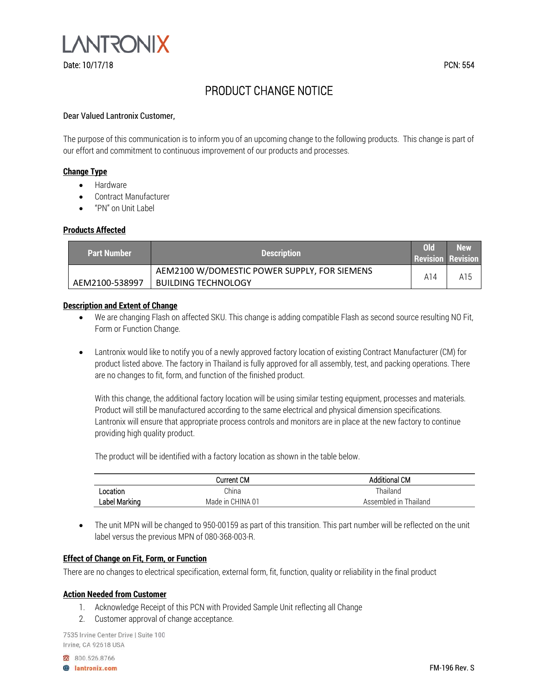

# PRODUCT CHANGE NOTICE

#### Dear Valued Lantronix Customer,

The purpose of this communication is to inform you of an upcoming change to the following products. This change is part of our effort and commitment to continuous improvement of our products and processes.

### **Change Type**

- Hardware
- Contract Manufacturer
- "PN" on Unit Label

#### **Products Affected**

| <b>Part Number</b> | <b>Description</b>                                                         | 0 <sup>ld</sup><br><b>Revision Revision</b> | <b>New</b> |
|--------------------|----------------------------------------------------------------------------|---------------------------------------------|------------|
| AEM2100-538997     | AEM2100 W/DOMESTIC POWER SUPPLY, FOR SIEMENS<br><b>BUILDING TECHNOLOGY</b> | A14                                         | A15        |

#### **Description and Extent of Change**

- We are changing Flash on affected SKU. This change is adding compatible Flash as second source resulting NO Fit, Form or Function Change.
- Lantronix would like to notify you of a newly approved factory location of existing Contract Manufacturer (CM) for product listed above. The factory in Thailand is fully approved for all assembly, test, and packing operations. There are no changes to fit, form, and function of the finished product.

With this change, the additional factory location will be using similar testing equipment, processes and materials. Product will still be manufactured according to the same electrical and physical dimension specifications. Lantronix will ensure that appropriate process controls and monitors are in place at the new factory to continue providing high quality product.

The product will be identified with a factory location as shown in the table below.

|               | Current CM       | <b>Additional CM</b>  |
|---------------|------------------|-----------------------|
| ∟ocation      | China            | Thailand              |
| Label Marking | Made in CHINA 01 | Assembled in Thailand |

• The unit MPN will be changed to 950-00159 as part of this transition. This part number will be reflected on the unit label versus the previous MPN of 080-368-003-R.

#### **Effect of Change on Fit, Form, or Function**

There are no changes to electrical specification, external form, fit, function, quality or reliability in the final product

#### **Action Needed from Customer**

- 1. Acknowledge Receipt of this PCN with Provided Sample Unit reflecting all Change
- 2. Customer approval of change acceptance.

7535 Irvine Center Drive | Suite 100 Irvine, CA 92618 USA

800.526.8766

**B** lantronix.com